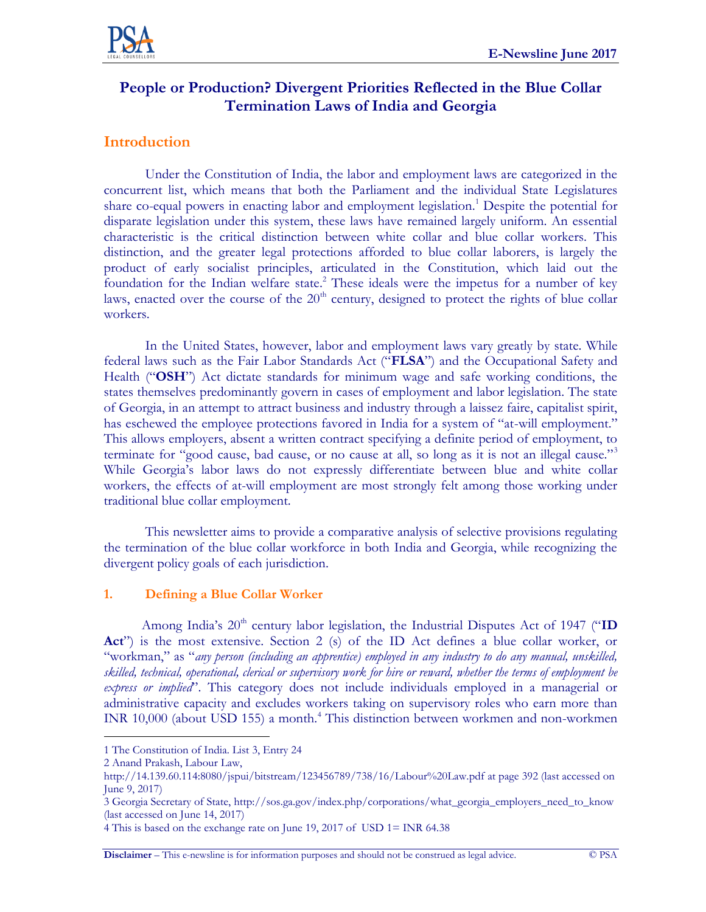

# **People or Production? Divergent Priorities Reflected in the Blue Collar Termination Laws of India and Georgia**

## **Introduction**

Under the Constitution of India, the labor and employment laws are categorized in the concurrent list, which means that both the Parliament and the individual State Legislatures share co-equal powers in enacting labor and employment legislation.<sup>1</sup> Despite the potential for disparate legislation under this system, these laws have remained largely uniform. An essential characteristic is the critical distinction between white collar and blue collar workers. This distinction, and the greater legal protections afforded to blue collar laborers, is largely the product of early socialist principles, articulated in the Constitution, which laid out the foundation for the Indian welfare state.<sup>2</sup> These ideals were the impetus for a number of key laws, enacted over the course of the  $20<sup>th</sup>$  century, designed to protect the rights of blue collar workers.

In the United States, however, labor and employment laws vary greatly by state. While federal laws such as the Fair Labor Standards Act ("**FLSA**") and the Occupational Safety and Health ("**OSH**") Act dictate standards for minimum wage and safe working conditions, the states themselves predominantly govern in cases of employment and labor legislation. The state of Georgia, in an attempt to attract business and industry through a laissez faire, capitalist spirit, has eschewed the employee protections favored in India for a system of "at-will employment." This allows employers, absent a written contract specifying a definite period of employment, to terminate for "good cause, bad cause, or no cause at all, so long as it is not an illegal cause."<sup>3</sup> While Georgia's labor laws do not expressly differentiate between blue and white collar workers, the effects of at-will employment are most strongly felt among those working under traditional blue collar employment.

This newsletter aims to provide a comparative analysis of selective provisions regulating the termination of the blue collar workforce in both India and Georgia, while recognizing the divergent policy goals of each jurisdiction.

#### **1. Defining a Blue Collar Worker**

Among India's 20<sup>th</sup> century labor legislation, the Industrial Disputes Act of 1947 ("ID Act<sup>"</sup>) is the most extensive. Section 2 (s) of the ID Act defines a blue collar worker, or "workman," as "*any person (including an apprentice) employed in any industry to do any manual, unskilled, skilled, technical, operational, clerical or supervisory work for hire or reward, whether the terms of employment be express or implied*". This category does not include individuals employed in a managerial or administrative capacity and excludes workers taking on supervisory roles who earn more than INR 10,000 (about USD 155) a month.<sup>4</sup> This distinction between workmen and non-workmen

 $\overline{a}$ 

**Disclaimer** – This e-newsline is for information purposes and should not be construed as legal advice. © PSA

<sup>1</sup> The Constitution of India. List 3, Entry 24

<sup>2</sup> Anand Prakash, Labour Law,

<http://14.139.60.114:8080/jspui/bitstream/123456789/738/16/Labour%20Law.pdf> at page 392 (last accessed on June 9, 2017)

<sup>3</sup> Georgia Secretary of State, [http://sos.ga.gov/index.php/corporations/what\\_georgia\\_employers\\_need\\_to\\_know](http://sos.ga.gov/index.php/corporations/what_georgia_employers_need_to_know) (last accessed on June 14, 2017)

<sup>4</sup> This is based on the exchange rate on June 19, 2017 of USD 1= INR 64.38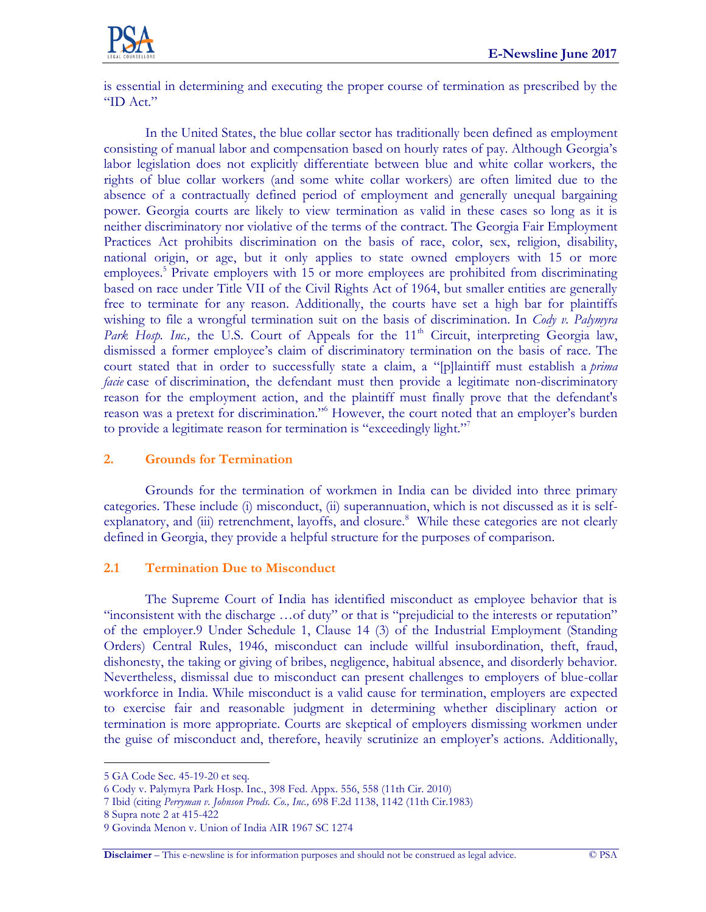

is essential in determining and executing the proper course of termination as prescribed by the "ID Act."

In the United States, the blue collar sector has traditionally been defined as employment consisting of manual labor and compensation based on hourly rates of pay. Although Georgia's labor legislation does not explicitly differentiate between blue and white collar workers, the rights of blue collar workers (and some white collar workers) are often limited due to the absence of a contractually defined period of employment and generally unequal bargaining power. Georgia courts are likely to view termination as valid in these cases so long as it is neither discriminatory nor violative of the terms of the contract. The Georgia Fair Employment Practices Act prohibits discrimination on the basis of race, color, sex, religion, disability, national origin, or age, but it only applies to state owned employers with 15 or more employees.<sup>5</sup> Private employers with 15 or more employees are prohibited from discriminating based on race under Title VII of the Civil Rights Act of 1964, but smaller entities are generally free to terminate for any reason. Additionally, the courts have set a high bar for plaintiffs wishing to file a wrongful termination suit on the basis of discrimination. In *Cody v. Palymyra*  Park Hosp. Inc., the U.S. Court of Appeals for the 11<sup>th</sup> Circuit, interpreting Georgia law, dismissed a former employee's claim of discriminatory termination on the basis of race. The court stated that in order to successfully state a claim, a "[p]laintiff must establish a *prima facie* case of discrimination, the defendant must then provide a legitimate non-discriminatory reason for the employment action, and the plaintiff must finally prove that the defendant's reason was a pretext for discrimination."<sup>6</sup> However, the court noted that an employer's burden to provide a legitimate reason for termination is "exceedingly light."<sup>7</sup>

#### **2. Grounds for Termination**

Grounds for the termination of workmen in India can be divided into three primary categories. These include (i) misconduct, (ii) superannuation, which is not discussed as it is selfexplanatory, and (iii) retrenchment, layoffs, and closure.<sup>8</sup> While these categories are not clearly defined in Georgia, they provide a helpful structure for the purposes of comparison.

#### **2.1 Termination Due to Misconduct**

The Supreme Court of India has identified misconduct as employee behavior that is "inconsistent with the discharge …of duty" or that is "prejudicial to the interests or reputation" of the employer.9 Under Schedule 1, Clause 14 (3) of the Industrial Employment (Standing Orders) Central Rules, 1946, misconduct can include willful insubordination, theft, fraud, dishonesty, the taking or giving of bribes, negligence, habitual absence, and disorderly behavior. Nevertheless, dismissal due to misconduct can present challenges to employers of blue-collar workforce in India. While misconduct is a valid cause for termination, employers are expected to exercise fair and reasonable judgment in determining whether disciplinary action or termination is more appropriate. Courts are skeptical of employers dismissing workmen under the guise of misconduct and, therefore, heavily scrutinize an employer's actions. Additionally,

 $\overline{a}$ 

<sup>5</sup> GA Code Sec. 45-19-20 et seq.

<sup>6</sup> Cody v. Palymyra Park Hosp. Inc., 398 Fed. Appx. 556, 558 (11th Cir. 2010)

<sup>7</sup> Ibid (citing *Perryman v. Johnson Prods. Co., Inc.,* [698 F.2d 1138, 1142 \(11th Cir.1983\)](https://1.next.westlaw.com/Link/Document/FullText?findType=Y&serNum=1983106163&pubNum=350&originatingDoc=Id42aa4ecd08011dfb5fdfcf739be147c&refType=RP&fi=co_pp_sp_350_1142&originationContext=document&transitionType=DocumentItem&contextData=(sc.Search)#co_pp_sp_350_1142)

<sup>8</sup> Supra note 2 at 415-422

<sup>9</sup> Govinda Menon v. Union of India AIR 1967 SC 1274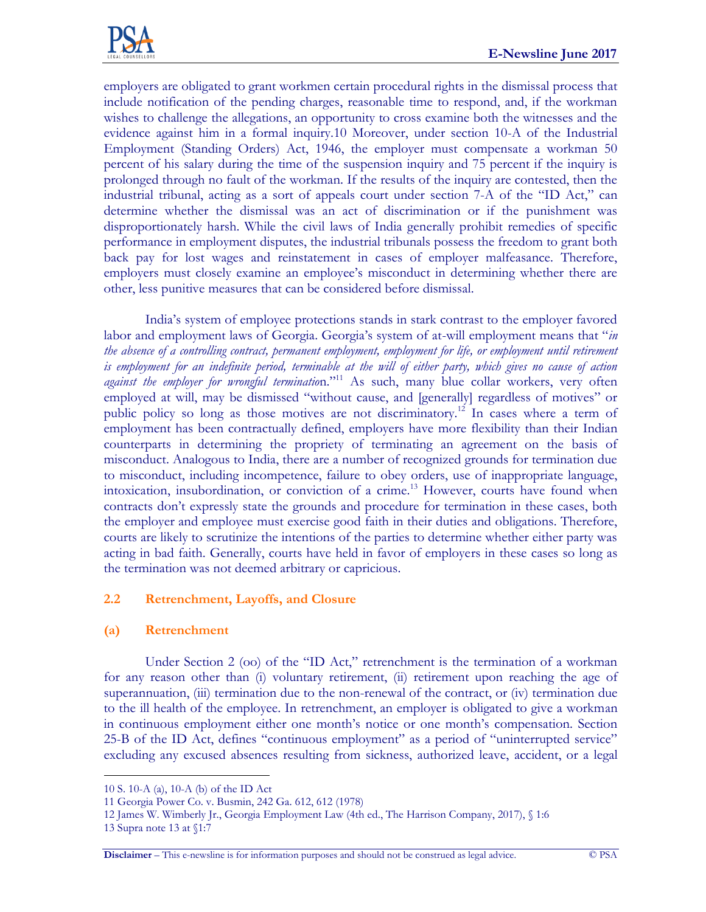

employers are obligated to grant workmen certain procedural rights in the dismissal process that include notification of the pending charges, reasonable time to respond, and, if the workman wishes to challenge the allegations, an opportunity to cross examine both the witnesses and the evidence against him in a formal inquiry.10 Moreover, under section 10-A of the Industrial Employment (Standing Orders) Act, 1946, the employer must compensate a workman 50 percent of his salary during the time of the suspension inquiry and 75 percent if the inquiry is prolonged through no fault of the workman. If the results of the inquiry are contested, then the industrial tribunal, acting as a sort of appeals court under section 7-A of the "ID Act," can determine whether the dismissal was an act of discrimination or if the punishment was disproportionately harsh. While the civil laws of India generally prohibit remedies of specific performance in employment disputes, the industrial tribunals possess the freedom to grant both back pay for lost wages and reinstatement in cases of employer malfeasance. Therefore, employers must closely examine an employee's misconduct in determining whether there are other, less punitive measures that can be considered before dismissal.

India's system of employee protections stands in stark contrast to the employer favored labor and employment laws of Georgia. Georgia's system of at-will employment means that "*in*  the absence of a controlling contract, permanent employment, employment for life, or employment until retirement *is employment for an indefinite period, terminable at the will of either party, which gives no cause of action*  against the employer for wrongful termination."<sup>11</sup> As such, many blue collar workers, very often employed at will, may be dismissed "without cause, and [generally] regardless of motives" or public policy so long as those motives are not discriminatory.<sup>12</sup> In cases where a term of employment has been contractually defined, employers have more flexibility than their Indian counterparts in determining the propriety of terminating an agreement on the basis of misconduct. Analogous to India, there are a number of recognized grounds for termination due to misconduct, including incompetence, failure to obey orders, use of inappropriate language, intoxication, insubordination, or conviction of a crime.<sup>13</sup> However, courts have found when contracts don't expressly state the grounds and procedure for termination in these cases, both the employer and employee must exercise good faith in their duties and obligations. Therefore, courts are likely to scrutinize the intentions of the parties to determine whether either party was acting in bad faith. Generally, courts have held in favor of employers in these cases so long as the termination was not deemed arbitrary or capricious.

#### **2.2 Retrenchment, Layoffs, and Closure**

#### **(a) Retrenchment**

Under Section 2 (oo) of the "ID Act," retrenchment is the termination of a workman for any reason other than (i) voluntary retirement, (ii) retirement upon reaching the age of superannuation, (iii) termination due to the non-renewal of the contract, or (iv) termination due to the ill health of the employee. In retrenchment, an employer is obligated to give a workman in continuous employment either one month's notice or one month's compensation. Section 25-B of the ID Act, defines "continuous employment" as a period of "uninterrupted service" excluding any excused absences resulting from sickness, authorized leave, accident, or a legal

 $\overline{a}$ 

**Disclaimer** – This e-newsline is for information purposes and should not be construed as legal advice. © PSA

<sup>10</sup> S. 10-A (a), 10-A (b) of the ID Act

<sup>11</sup> Georgia Power Co. v. Busmin, 242 Ga. 612, 612 (1978)

<sup>12</sup> James W. Wimberly Jr., Georgia Employment Law (4th ed., The Harrison Company, 2017), § 1:6

<sup>13</sup> Supra note 13 at §1:7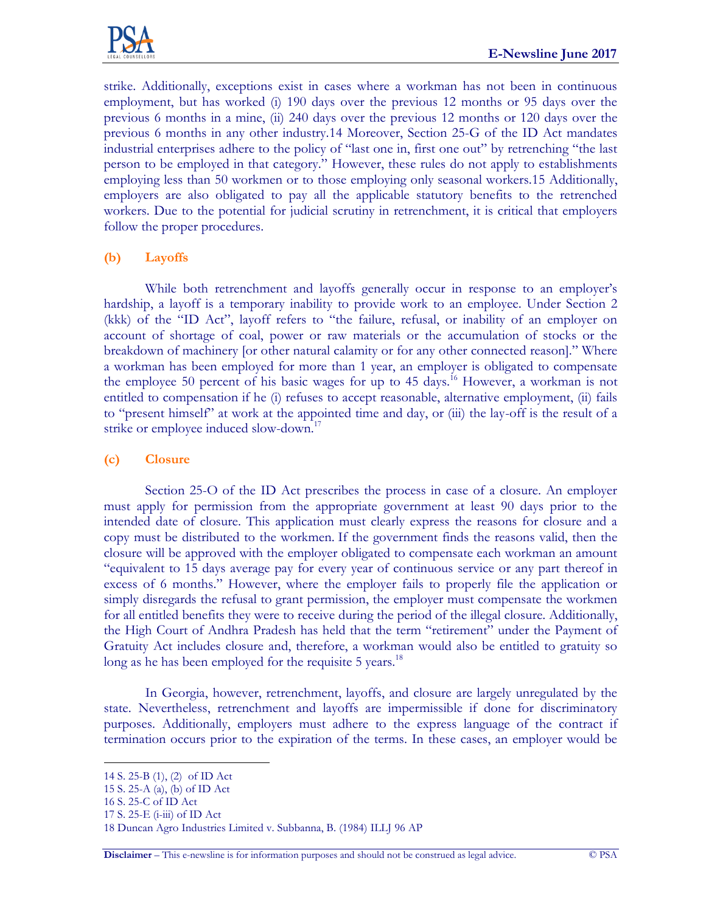

strike. Additionally, exceptions exist in cases where a workman has not been in continuous employment, but has worked (i) 190 days over the previous 12 months or 95 days over the previous 6 months in a mine, (ii) 240 days over the previous 12 months or 120 days over the previous 6 months in any other industry.14 Moreover, Section 25-G of the ID Act mandates industrial enterprises adhere to the policy of "last one in, first one out" by retrenching "the last person to be employed in that category." However, these rules do not apply to establishments employing less than 50 workmen or to those employing only seasonal workers.15 Additionally, employers are also obligated to pay all the applicable statutory benefits to the retrenched workers. Due to the potential for judicial scrutiny in retrenchment, it is critical that employers follow the proper procedures.

### **(b) Layoffs**

While both retrenchment and layoffs generally occur in response to an employer's hardship, a layoff is a temporary inability to provide work to an employee. Under Section 2 (kkk) of the "ID Act", layoff refers to "the failure, refusal, or inability of an employer on account of shortage of coal, power or raw materials or the accumulation of stocks or the breakdown of machinery [or other natural calamity or for any other connected reason]." Where a workman has been employed for more than 1 year, an employer is obligated to compensate the employee 50 percent of his basic wages for up to 45 days.<sup>16</sup> However, a workman is not entitled to compensation if he (i) refuses to accept reasonable, alternative employment, (ii) fails to "present himself" at work at the appointed time and day, or (iii) the lay-off is the result of a strike or employee induced slow-down.<sup>17</sup>

#### **(c) Closure**

Section 25-O of the ID Act prescribes the process in case of a closure. An employer must apply for permission from the appropriate government at least 90 days prior to the intended date of closure. This application must clearly express the reasons for closure and a copy must be distributed to the workmen. If the government finds the reasons valid, then the closure will be approved with the employer obligated to compensate each workman an amount "equivalent to 15 days average pay for every year of continuous service or any part thereof in excess of 6 months." However, where the employer fails to properly file the application or simply disregards the refusal to grant permission, the employer must compensate the workmen for all entitled benefits they were to receive during the period of the illegal closure. Additionally, the High Court of Andhra Pradesh has held that the term "retirement" under the Payment of Gratuity Act includes closure and, therefore, a workman would also be entitled to gratuity so long as he has been employed for the requisite 5 years.<sup>18</sup>

In Georgia, however, retrenchment, layoffs, and closure are largely unregulated by the state. Nevertheless, retrenchment and layoffs are impermissible if done for discriminatory purposes. Additionally, employers must adhere to the express language of the contract if termination occurs prior to the expiration of the terms. In these cases, an employer would be

 $\overline{a}$ 

<sup>14</sup> S. 25-B (1), (2) of ID Act

<sup>15</sup> S. 25-A (a), (b) of ID Act

<sup>16</sup> S. 25-C of ID Act

<sup>17</sup> S. 25-E (i-iii) of ID Act

<sup>18</sup> Duncan Agro Industries Limited v. Subbanna, B. (1984) ILLJ 96 AP